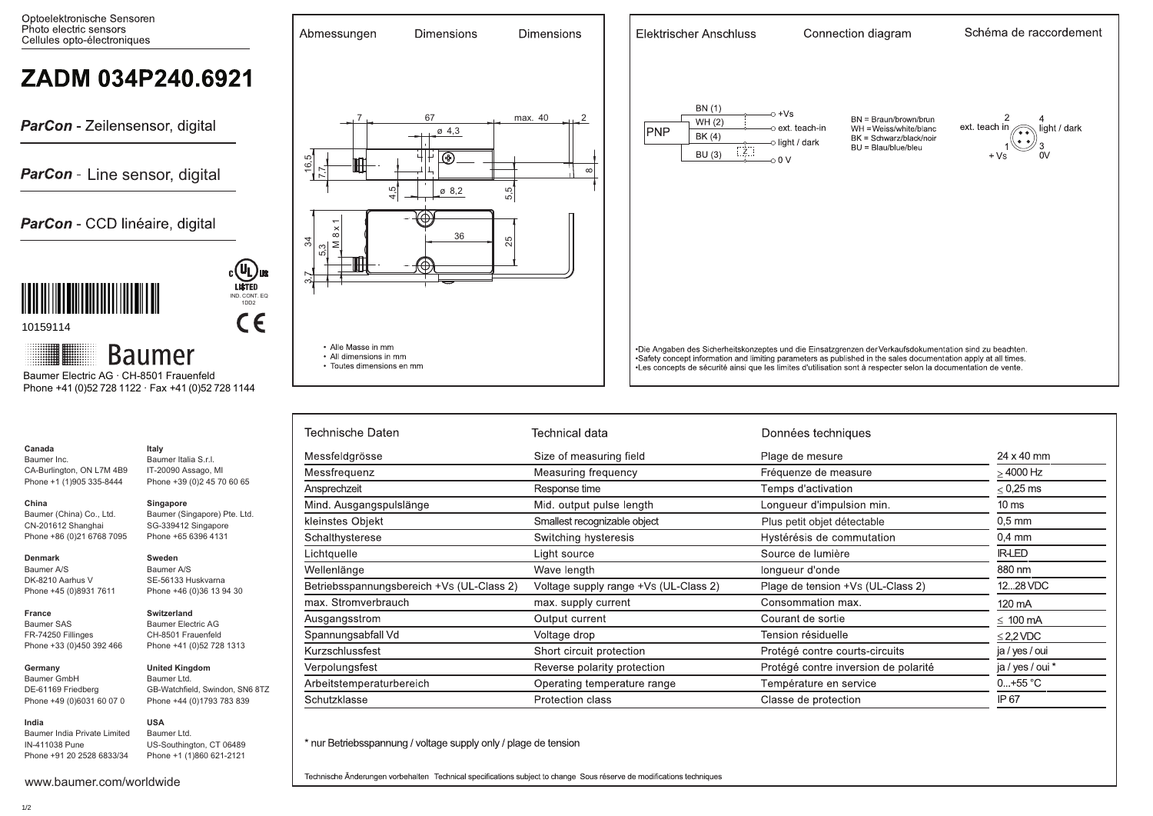

| Technische Daten                          | Technical data                        | Données techniques                   |                  |
|-------------------------------------------|---------------------------------------|--------------------------------------|------------------|
| Messfeldgrösse                            | Size of measuring field               | Plage de mesure                      | 24 x 40 mm       |
| Messfrequenz                              | Measuring frequency                   | Fréquenze de measure                 | $>$ 4000 Hz      |
| Ansprechzeit                              | Response time                         | Temps d'activation                   | $< 0.25$ ms      |
| Mind. Ausgangspulslänge                   | Mid. output pulse length              | Longueur d'impulsion min.            | 10 <sub>ms</sub> |
| kleinstes Objekt                          | Smallest recognizable object          | Plus petit objet détectable          | $0.5$ mm         |
| Schalthysterese                           | Switching hysteresis                  | Hystérésis de commutation            | $0.4 \text{ mm}$ |
| Lichtquelle                               | Light source                          | Source de lumière                    | <b>IR-LED</b>    |
| Wellenlänge                               | Wave length                           | longueur d'onde                      | 880 nm           |
| Betriebsspannungsbereich +Vs (UL-Class 2) | Voltage supply range +Vs (UL-Class 2) | Plage de tension +Vs (UL-Class 2)    | 1228 VDC         |
| max. Stromverbrauch                       | max. supply current                   | Consommation max.                    | 120 mA           |
| Ausgangsstrom                             | Output current                        | Courant de sortie                    | $\leq 100$ mA    |
| Spannungsabfall Vd                        | Voltage drop                          | Tension résiduelle                   | $\leq$ 2.2 VDC   |
| Kurzschlussfest                           | Short circuit protection              | Protégé contre courts-circuits       | ja / yes / oui   |
| Verpolungsfest                            | Reverse polarity protection           | Protégé contre inversion de polarité | ja / yes / oui * |
| Arbeitstemperaturbereich                  | Operating temperature range           | Température en service               | $0+55 °C$        |
| Schutzklasse                              | Protection class                      | Classe de protection                 | IP 67            |

\* nur Betriebsspannung / voltage supply only / plage de tension

Technische Änderungen vorbehalten Technical specifications subject to change Sous réserve de modifications techniques

www.baumer.com/worldwide

Baumer India Private Limited IN-411038 Pune Phone +91 20 2528 6833/34

**Canada** Baumer Inc.

**China** 

**Denmark** Baumer A/S DK-8210 Aarhus V Phone +45 (0)8931 7611

**France** Baumer SAS FR-74250 Fillinges Phone +33 (0)450 392 466

**Germany**  Baumer GmbH DE-61169 Friedberg Phone +49 (0)6031 60 07 0

**India**

CA-Burlington, ON L7M 4B9 Phone +1 (1)905 335-8444

**Italy** Baumer Italia S.r.l. IT-20090 Assago, MI Phone +39 (0)2 45 70 60 65

**Singapore**

**Sweden** Baumer A/S SE-56133 Huskvarna Phone +46 (0)36 13 94 30

**Switzerland** Baumer Electric AG CH-8501 Frauenfeld Phone +41 (0)52 728 1313

**United Kingdom** Baumer Ltd.

**USA** Baumer Ltd.

GB-Watchfield, Swindon, SN6 8TZ Phone +44 (0)1793 783 839

US-Southington, CT 06489 Phone +1 (1)860 621-2121

Baumer (Singapore) Pte. Ltd. SG-339412 Singapore Phone +65 6396 4131

Baumer (China) Co., Ltd. CN-201612 Shanghai Phone +86 (0)21 6768 7095